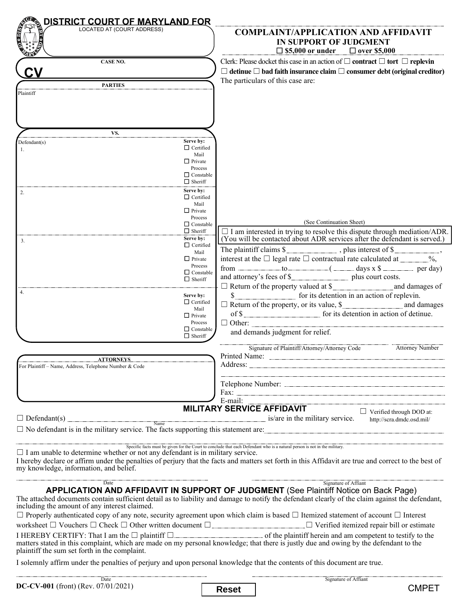| DISTRICT COURT OF MARYLAND FOR<br>LOCATED AT (COURT ADDRESS)                                                                                                                                                                                                                                     |                                                         |                                   | <b>COMPLAINT/APPLICATION AND AFFIDAVIT</b>                                                                                 |                                                                                                                                                           |
|--------------------------------------------------------------------------------------------------------------------------------------------------------------------------------------------------------------------------------------------------------------------------------------------------|---------------------------------------------------------|-----------------------------------|----------------------------------------------------------------------------------------------------------------------------|-----------------------------------------------------------------------------------------------------------------------------------------------------------|
|                                                                                                                                                                                                                                                                                                  |                                                         |                                   | IN SUPPORT OF JUDGMENT<br>$\Box$ \$5,000 or under                                                                          | $\Box$ over \$5,000                                                                                                                                       |
| CASE NO.                                                                                                                                                                                                                                                                                         |                                                         |                                   | Clerk: Please docket this case in an action of $\Box$ contract $\Box$ tort $\Box$ replevin                                 | $\Box$ detinue $\Box$ bad faith insurance claim $\Box$ consumer debt (original creditor)                                                                  |
| <b>PARTIES</b><br>Plaintiff                                                                                                                                                                                                                                                                      |                                                         | The particulars of this case are: |                                                                                                                            |                                                                                                                                                           |
|                                                                                                                                                                                                                                                                                                  |                                                         |                                   |                                                                                                                            |                                                                                                                                                           |
| VS.                                                                                                                                                                                                                                                                                              |                                                         |                                   |                                                                                                                            |                                                                                                                                                           |
| Defendant(s)<br>1.                                                                                                                                                                                                                                                                               | Serve by:<br>$\Box$ Certified<br>Mail<br>$\Box$ Private |                                   |                                                                                                                            |                                                                                                                                                           |
|                                                                                                                                                                                                                                                                                                  | Process<br>$\Box$ Constable<br>$\Box$ Sheriff           |                                   |                                                                                                                            |                                                                                                                                                           |
| 2.                                                                                                                                                                                                                                                                                               | Serve by:<br>$\Box$ Certified<br>Mail                   |                                   |                                                                                                                            |                                                                                                                                                           |
|                                                                                                                                                                                                                                                                                                  | $\Box$ Private<br>Process                               |                                   | (See Continuation Sheet)                                                                                                   |                                                                                                                                                           |
|                                                                                                                                                                                                                                                                                                  | $\Box$ Constable<br>$\Box$ Sheriff                      |                                   |                                                                                                                            | $\Box$ I am interested in trying to resolve this dispute through mediation/ADR. (You will be contacted about ADR services after the defendant is served.) |
| 3.                                                                                                                                                                                                                                                                                               | Serve by:<br>$\Box$ Certified                           |                                   | The plaintiff claims \$                                                                                                    |                                                                                                                                                           |
|                                                                                                                                                                                                                                                                                                  | Mail<br>$\Box$ Private                                  |                                   | interest at the $\Box$ legal rate $\Box$ contractual rate calculated at ________%,                                         |                                                                                                                                                           |
|                                                                                                                                                                                                                                                                                                  | Process<br>$\Box$ Constable                             |                                   | from ____________ to _________( ________ days x \$ _________ per day)                                                      |                                                                                                                                                           |
|                                                                                                                                                                                                                                                                                                  | $\Box$ Sheriff                                          |                                   | and attorney's fees of \$________________________ plus court costs.                                                        |                                                                                                                                                           |
| 4.                                                                                                                                                                                                                                                                                               | Serve by:                                               |                                   | \$                                                                                                                         |                                                                                                                                                           |
|                                                                                                                                                                                                                                                                                                  | $\Box$ Certified<br>Mail                                |                                   | $\Box$ Return of the property, or its value, \$                                                                            |                                                                                                                                                           |
|                                                                                                                                                                                                                                                                                                  | $\Box$ Private<br>Process                               |                                   | of \$                                                                                                                      |                                                                                                                                                           |
|                                                                                                                                                                                                                                                                                                  | $\Box$ Constable<br>$\Box$ Sheriff                      |                                   | and demands judgment for relief.                                                                                           |                                                                                                                                                           |
|                                                                                                                                                                                                                                                                                                  |                                                         |                                   | Signature of Plaintiff/Attorney/Attorney Code                                                                              | <b>Attorney Number</b>                                                                                                                                    |
| <b>ATTORNEYS</b><br>For Plaintiff - Name, Address, Telephone Number & Code                                                                                                                                                                                                                       |                                                         |                                   |                                                                                                                            |                                                                                                                                                           |
|                                                                                                                                                                                                                                                                                                  |                                                         |                                   |                                                                                                                            |                                                                                                                                                           |
|                                                                                                                                                                                                                                                                                                  |                                                         |                                   |                                                                                                                            |                                                                                                                                                           |
|                                                                                                                                                                                                                                                                                                  |                                                         | E-mail:                           | <b>MILITARY SERVICE AFFIDAVIT</b>                                                                                          | $\Box$ Verified through DOD at:                                                                                                                           |
| $\Box$ Defendant(s)<br>$\frac{1}{2}$ Name                                                                                                                                                                                                                                                        |                                                         |                                   | is/are in the military service.                                                                                            | http://scra.dmdc.osd.mil/                                                                                                                                 |
| $\Box$ No defendant is in the military service. The facts supporting this statement are:                                                                                                                                                                                                         |                                                         |                                   |                                                                                                                            |                                                                                                                                                           |
| $\Box$ I am unable to determine whether or not any defendant is in military service.<br>I hereby declare or affirm under the penalties of perjury that the facts and matters set forth in this Affidavit are true and correct to the best of<br>my knowledge, information, and belief.           |                                                         |                                   | Specific facts must be given for the Court to conclude that each Defendant who is a natural person is not in the military. |                                                                                                                                                           |
| Date<br>APPLICATION AND AFFIDAVIT IN SUPPORT OF JUDGMENT (See Plaintiff Notice on Back Page)<br>The attached documents contain sufficient detail as to liability and damage to notify the defendant clearly of the claim against the defendant,<br>including the amount of any interest claimed. |                                                         |                                   | Signature of Affiant                                                                                                       |                                                                                                                                                           |
| $\Box$ Properly authenticated copy of any note, security agreement upon which claim is based $\Box$ Itemized statement of account $\Box$ Interest                                                                                                                                                |                                                         |                                   |                                                                                                                            |                                                                                                                                                           |
| I HEREBY CERTIFY: That I am the $\Box$ plaintiff $\Box$ and the stated in this complaint, which are made on my personal knowledge; that there is justly due and owing by the defendant to the<br>plaintiff the sum set forth in the complaint.                                                   |                                                         |                                   |                                                                                                                            |                                                                                                                                                           |
| I solemnly affirm under the penalties of perjury and upon personal knowledge that the contents of this document are true.                                                                                                                                                                        |                                                         |                                   |                                                                                                                            |                                                                                                                                                           |
| Date<br>DC-CV-001 (front) (Rev. $07/01/2021$ )                                                                                                                                                                                                                                                   |                                                         |                                   | Signature of Affiant                                                                                                       |                                                                                                                                                           |
|                                                                                                                                                                                                                                                                                                  |                                                         | <b>Reset</b>                      |                                                                                                                            | <b>CMPET</b>                                                                                                                                              |